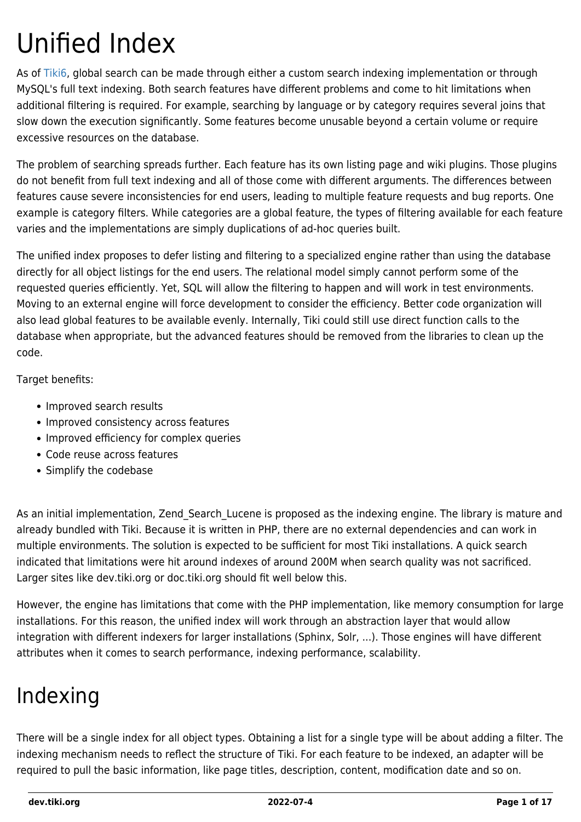# Unified Index

As of [Tiki6](https://dev.tiki.org/Tiki6), global search can be made through either a custom search indexing implementation or through MySQL's full text indexing. Both search features have different problems and come to hit limitations when additional filtering is required. For example, searching by language or by category requires several joins that slow down the execution significantly. Some features become unusable beyond a certain volume or require excessive resources on the database.

The problem of searching spreads further. Each feature has its own listing page and wiki plugins. Those plugins do not benefit from full text indexing and all of those come with different arguments. The differences between features cause severe inconsistencies for end users, leading to multiple feature requests and bug reports. One example is category filters. While categories are a global feature, the types of filtering available for each feature varies and the implementations are simply duplications of ad-hoc queries built.

The unified index proposes to defer listing and filtering to a specialized engine rather than using the database directly for all object listings for the end users. The relational model simply cannot perform some of the requested queries efficiently. Yet, SQL will allow the filtering to happen and will work in test environments. Moving to an external engine will force development to consider the efficiency. Better code organization will also lead global features to be available evenly. Internally, Tiki could still use direct function calls to the database when appropriate, but the advanced features should be removed from the libraries to clean up the code.

Target benefits:

- Improved search results
- Improved consistency across features
- Improved efficiency for complex queries
- Code reuse across features
- Simplify the codebase

As an initial implementation, Zend Search Lucene is proposed as the indexing engine. The library is mature and already bundled with Tiki. Because it is written in PHP, there are no external dependencies and can work in multiple environments. The solution is expected to be sufficient for most Tiki installations. A quick search indicated that limitations were hit around indexes of around 200M when search quality was not sacrificed. Larger sites like dev.tiki.org or doc.tiki.org should fit well below this.

However, the engine has limitations that come with the PHP implementation, like memory consumption for large installations. For this reason, the unified index will work through an abstraction layer that would allow integration with different indexers for larger installations (Sphinx, Solr, ...). Those engines will have different attributes when it comes to search performance, indexing performance, scalability.

## Indexing

There will be a single index for all object types. Obtaining a list for a single type will be about adding a filter. The indexing mechanism needs to reflect the structure of Tiki. For each feature to be indexed, an adapter will be required to pull the basic information, like page titles, description, content, modification date and so on.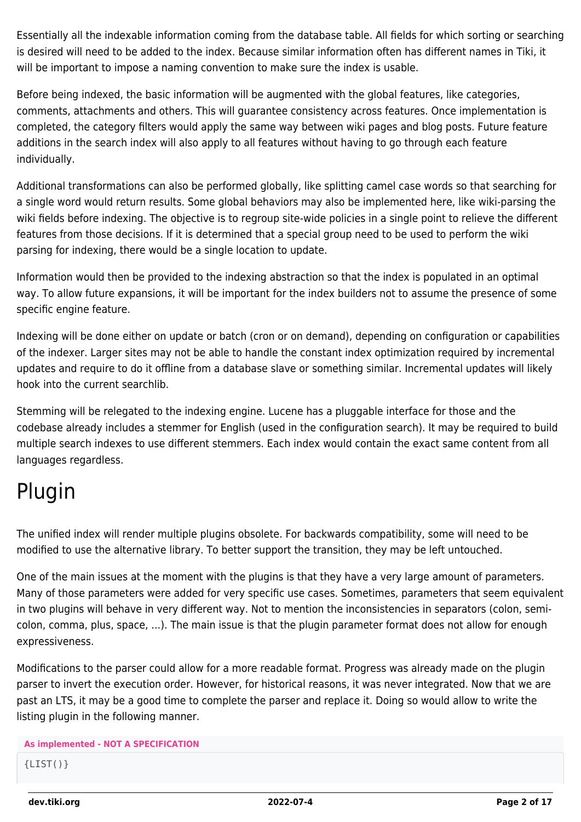Essentially all the indexable information coming from the database table. All fields for which sorting or searching is desired will need to be added to the index. Because similar information often has different names in Tiki, it will be important to impose a naming convention to make sure the index is usable.

Before being indexed, the basic information will be augmented with the global features, like categories, comments, attachments and others. This will guarantee consistency across features. Once implementation is completed, the category filters would apply the same way between wiki pages and blog posts. Future feature additions in the search index will also apply to all features without having to go through each feature individually.

Additional transformations can also be performed globally, like splitting camel case words so that searching for a single word would return results. Some global behaviors may also be implemented here, like wiki-parsing the wiki fields before indexing. The objective is to regroup site-wide policies in a single point to relieve the different features from those decisions. If it is determined that a special group need to be used to perform the wiki parsing for indexing, there would be a single location to update.

Information would then be provided to the indexing abstraction so that the index is populated in an optimal way. To allow future expansions, it will be important for the index builders not to assume the presence of some specific engine feature.

Indexing will be done either on update or batch (cron or on demand), depending on configuration or capabilities of the indexer. Larger sites may not be able to handle the constant index optimization required by incremental updates and require to do it offline from a database slave or something similar. Incremental updates will likely hook into the current searchlib.

Stemming will be relegated to the indexing engine. Lucene has a pluggable interface for those and the codebase already includes a stemmer for English (used in the configuration search). It may be required to build multiple search indexes to use different stemmers. Each index would contain the exact same content from all languages regardless.

## Plugin

The unified index will render multiple plugins obsolete. For backwards compatibility, some will need to be modified to use the alternative library. To better support the transition, they may be left untouched.

One of the main issues at the moment with the plugins is that they have a very large amount of parameters. Many of those parameters were added for very specific use cases. Sometimes, parameters that seem equivalent in two plugins will behave in very different way. Not to mention the inconsistencies in separators (colon, semicolon, comma, plus, space, ...). The main issue is that the plugin parameter format does not allow for enough expressiveness.

Modifications to the parser could allow for a more readable format. Progress was already made on the plugin parser to invert the execution order. However, for historical reasons, it was never integrated. Now that we are past an LTS, it may be a good time to complete the parser and replace it. Doing so would allow to write the listing plugin in the following manner.

#### **As implemented - NOT A SPECIFICATION**

 ${LIST() }$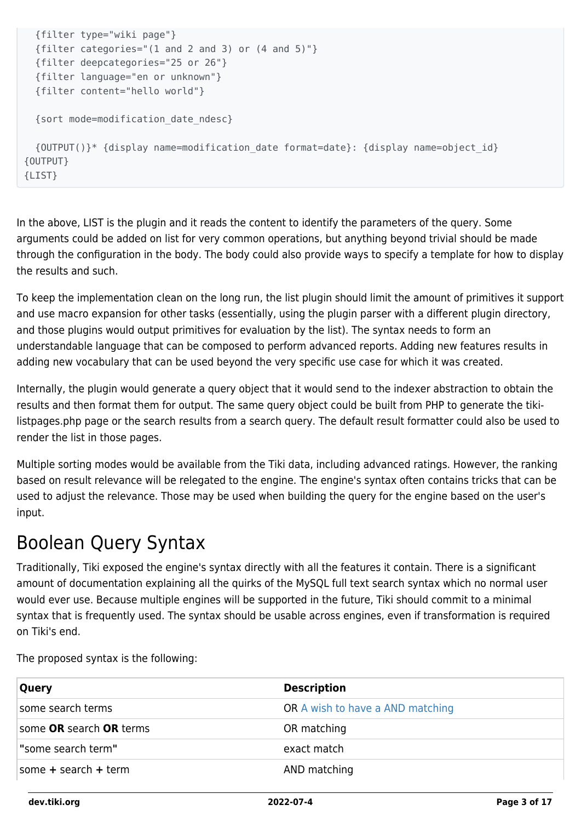```
 {filter type="wiki page"}
   {filter categories="(1 and 2 and 3) or (4 and 5)"}
   {filter deepcategories="25 or 26"}
   {filter language="en or unknown"}
   {filter content="hello world"}
   {sort mode=modification_date_ndesc}
   {OUTPUT()}* {display name=modification_date format=date}: {display name=object_id}
{OUTPUT}
{LIST}
```
In the above, LIST is the plugin and it reads the content to identify the parameters of the query. Some arguments could be added on list for very common operations, but anything beyond trivial should be made through the configuration in the body. The body could also provide ways to specify a template for how to display the results and such.

To keep the implementation clean on the long run, the list plugin should limit the amount of primitives it support and use macro expansion for other tasks (essentially, using the plugin parser with a different plugin directory, and those plugins would output primitives for evaluation by the list). The syntax needs to form an understandable language that can be composed to perform advanced reports. Adding new features results in adding new vocabulary that can be used beyond the very specific use case for which it was created.

Internally, the plugin would generate a query object that it would send to the indexer abstraction to obtain the results and then format them for output. The same query object could be built from PHP to generate the tikilistpages.php page or the search results from a search query. The default result formatter could also be used to render the list in those pages.

Multiple sorting modes would be available from the Tiki data, including advanced ratings. However, the ranking based on result relevance will be relegated to the engine. The engine's syntax often contains tricks that can be used to adjust the relevance. Those may be used when building the query for the engine based on the user's input.

#### Boolean Query Syntax

Traditionally, Tiki exposed the engine's syntax directly with all the features it contain. There is a significant amount of documentation explaining all the quirks of the MySQL full text search syntax which no normal user would ever use. Because multiple engines will be supported in the future, Tiki should commit to a minimal syntax that is frequently used. The syntax should be usable across engines, even if transformation is required on Tiki's end.

The proposed syntax is the following:

| <b>Query</b>             | <b>Description</b>               |
|--------------------------|----------------------------------|
| some search terms        | OR A wish to have a AND matching |
| some OR search OR terms  | OR matching                      |
| "some search term"       | exact match                      |
| some $+$ search $+$ term | AND matching                     |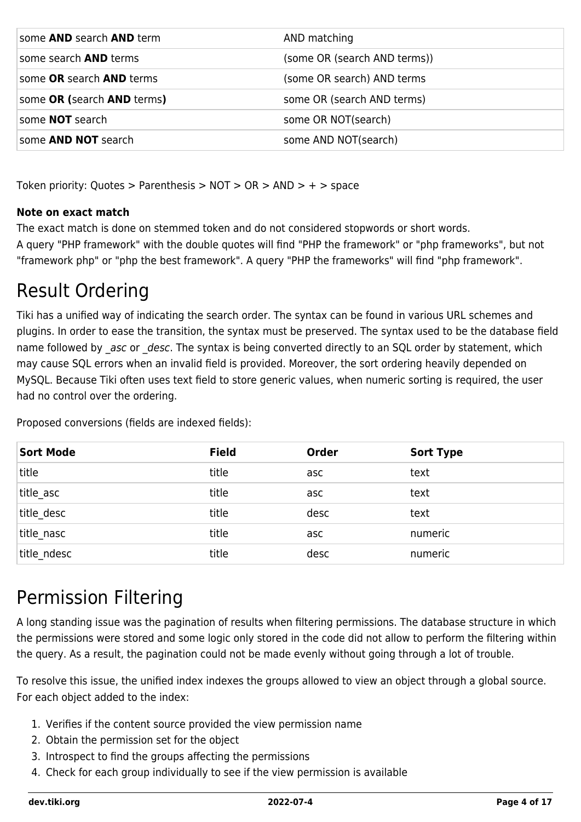| some <b>AND</b> search <b>AND</b> term | AND matching                 |
|----------------------------------------|------------------------------|
| some search <b>AND</b> terms           | (some OR (search AND terms)) |
| some OR search AND terms               | (some OR search) AND terms   |
| some OR (search AND terms)             | some OR (search AND terms)   |
| some <b>NOT</b> search                 | some OR NOT(search)          |
| some <b>AND NOT</b> search             | some AND NOT(search)         |

Token priority: Quotes > Parenthesis > NOT > OR > AND > + > space

#### **Note on exact match**

The exact match is done on stemmed token and do not considered stopwords or short words. A query "PHP framework" with the double quotes will find "PHP the framework" or "php frameworks", but not "framework php" or "php the best framework". A query "PHP the frameworks" will find "php framework".

#### Result Ordering

Tiki has a unified way of indicating the search order. The syntax can be found in various URL schemes and plugins. In order to ease the transition, the syntax must be preserved. The syntax used to be the database field name followed by asc or desc. The syntax is being converted directly to an SQL order by statement, which may cause SQL errors when an invalid field is provided. Moreover, the sort ordering heavily depended on MySQL. Because Tiki often uses text field to store generic values, when numeric sorting is required, the user had no control over the ordering.

Proposed conversions (fields are indexed fields):

| <b>Sort Mode</b> | <b>Field</b> | <b>Order</b> | <b>Sort Type</b> |
|------------------|--------------|--------------|------------------|
| title            | title        | asc          | text             |
| title_asc        | title        | asc          | text             |
| title desc       | title        | desc         | text             |
| title nasc       | title        | asc          | numeric          |
| title ndesc      | title        | desc         | numeric          |

#### Permission Filtering

A long standing issue was the pagination of results when filtering permissions. The database structure in which the permissions were stored and some logic only stored in the code did not allow to perform the filtering within the query. As a result, the pagination could not be made evenly without going through a lot of trouble.

To resolve this issue, the unified index indexes the groups allowed to view an object through a global source. For each object added to the index:

- 1. Verifies if the content source provided the view permission name
- 2. Obtain the permission set for the object
- 3. Introspect to find the groups affecting the permissions
- 4. Check for each group individually to see if the view permission is available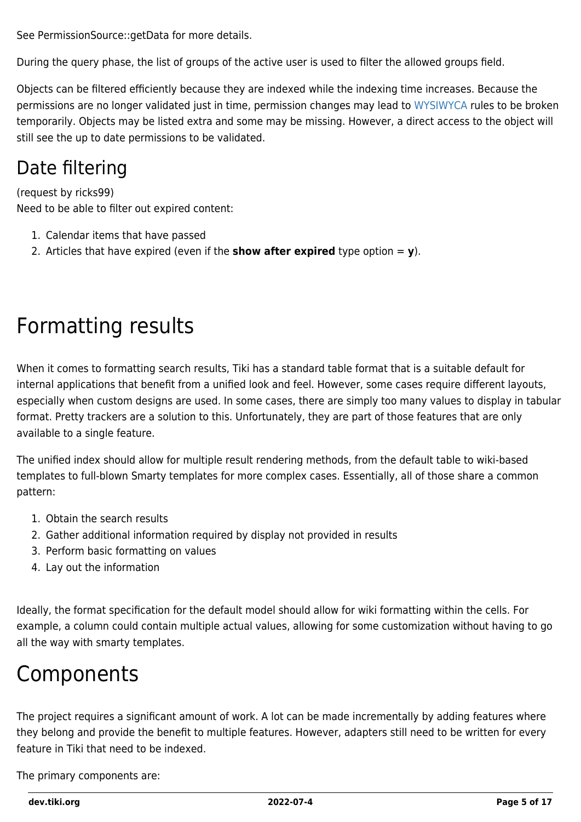See PermissionSource::getData for more details.

During the query phase, the list of groups of the active user is used to filter the allowed groups field.

Objects can be filtered efficiently because they are indexed while the indexing time increases. Because the permissions are no longer validated just in time, permission changes may lead to [WYSIWYCA](https://dev.tiki.org/WYSIWYCA) rules to be broken temporarily. Objects may be listed extra and some may be missing. However, a direct access to the object will still see the up to date permissions to be validated.

#### Date filtering

(request by ricks99) Need to be able to filter out expired content:

- 1. Calendar items that have passed
- 2. Articles that have expired (even if the **show after expired** type option  $= \mathbf{v}$ ).

## Formatting results

When it comes to formatting search results, Tiki has a standard table format that is a suitable default for internal applications that benefit from a unified look and feel. However, some cases require different layouts, especially when custom designs are used. In some cases, there are simply too many values to display in tabular format. Pretty trackers are a solution to this. Unfortunately, they are part of those features that are only available to a single feature.

The unified index should allow for multiple result rendering methods, from the default table to wiki-based templates to full-blown Smarty templates for more complex cases. Essentially, all of those share a common pattern:

- 1. Obtain the search results
- 2. Gather additional information required by display not provided in results
- 3. Perform basic formatting on values
- 4. Lay out the information

Ideally, the format specification for the default model should allow for wiki formatting within the cells. For example, a column could contain multiple actual values, allowing for some customization without having to go all the way with smarty templates.

#### Components

The project requires a significant amount of work. A lot can be made incrementally by adding features where they belong and provide the benefit to multiple features. However, adapters still need to be written for every feature in Tiki that need to be indexed.

The primary components are: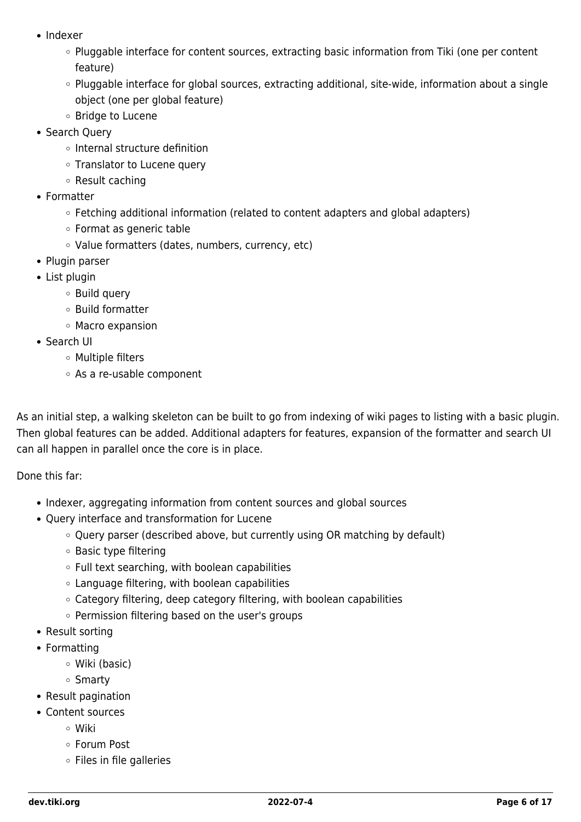- Indexer
	- $\circ$  Pluggable interface for content sources, extracting basic information from Tiki (one per content feature)
	- Pluggable interface for global sources, extracting additional, site-wide, information about a single object (one per global feature)
	- Bridge to Lucene
- Search Query
	- o Internal structure definition
	- Translator to Lucene query
	- Result caching
- Formatter
	- Fetching additional information (related to content adapters and global adapters)
	- Format as generic table
	- Value formatters (dates, numbers, currency, etc)
- Plugin parser
- List plugin
	- Build query
	- Build formatter
	- Macro expansion
- Search UI
	- Multiple filters
	- As a re-usable component

As an initial step, a walking skeleton can be built to go from indexing of wiki pages to listing with a basic plugin. Then global features can be added. Additional adapters for features, expansion of the formatter and search UI can all happen in parallel once the core is in place.

Done this far:

- Indexer, aggregating information from content sources and global sources
- Query interface and transformation for Lucene
	- Query parser (described above, but currently using OR matching by default)
	- Basic type filtering
	- $\circ$  Full text searching, with boolean capabilities
	- Language filtering, with boolean capabilities
	- Category filtering, deep category filtering, with boolean capabilities
	- Permission filtering based on the user's groups
- Result sorting
- Formatting
	- Wiki (basic)
	- o Smarty
- Result pagination
- Content sources
	- Wiki
	- Forum Post
	- $\circ$  Files in file galleries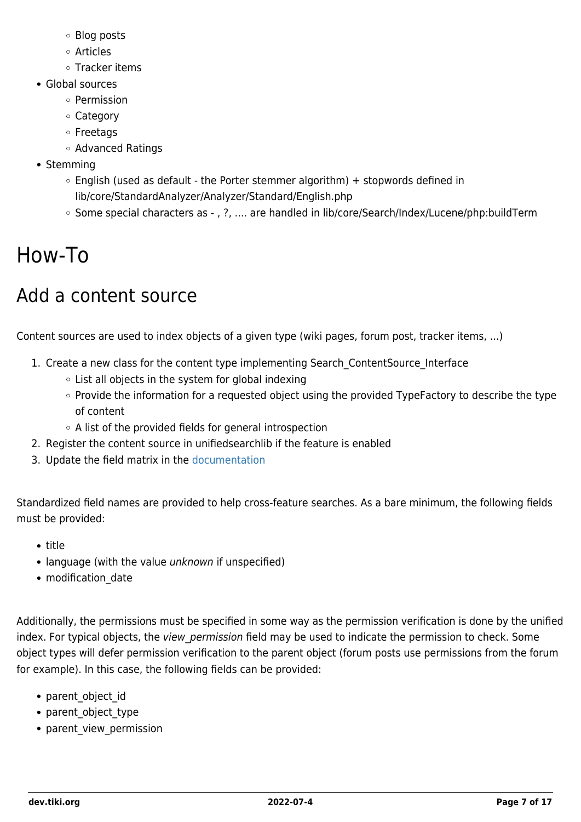- Blog posts
- Articles
- Tracker items
- Global sources
	- Permission
	- Category
	- Freetags
	- Advanced Ratings
- Stemming
	- $\circ$  English (used as default the Porter stemmer algorithm) + stopwords defined in lib/core/StandardAnalyzer/Analyzer/Standard/English.php
	- o Some special characters as , ?, .... are handled in lib/core/Search/Index/Lucene/php:buildTerm

## How-To

### Add a content source

Content sources are used to index objects of a given type (wiki pages, forum post, tracker items, ...)

- 1. Create a new class for the content type implementing Search ContentSource Interface
	- List all objects in the system for global indexing
	- Provide the information for a requested object using the provided TypeFactory to describe the type of content
	- A list of the provided fields for general introspection
- 2. Register the content source in unifiedsearchlib if the feature is enabled
- 3. Update the field matrix in the [documentation](http://doc.tiki.org/PluginList)

Standardized field names are provided to help cross-feature searches. As a bare minimum, the following fields must be provided:

- title
- language (with the value *unknown* if unspecified)
- modification date

Additionally, the permissions must be specified in some way as the permission verification is done by the unified index. For typical objects, the view permission field may be used to indicate the permission to check. Some object types will defer permission verification to the parent object (forum posts use permissions from the forum for example). In this case, the following fields can be provided:

- parent object id
- parent object type
- parent view permission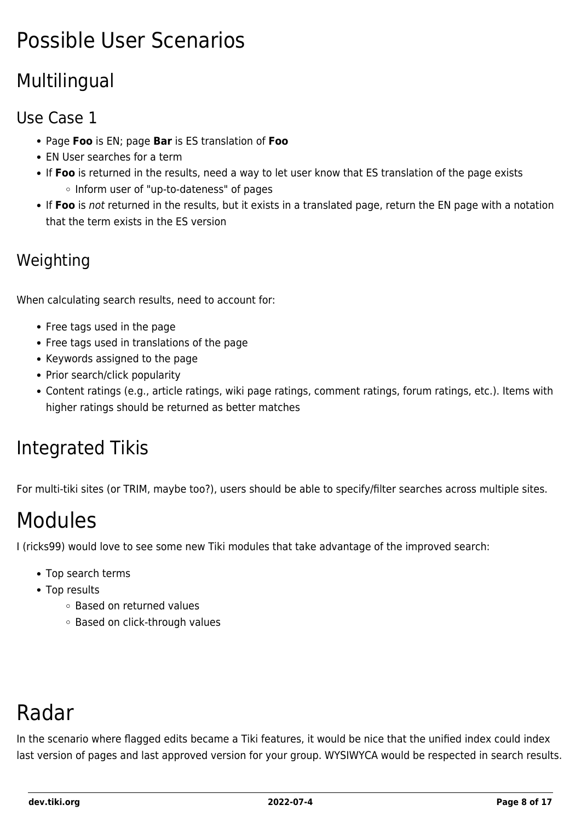## Possible User Scenarios

#### Multilingual

#### Use Case 1

- Page **Foo** is EN; page **Bar** is ES translation of **Foo**
- EN User searches for a term
- If **Foo** is returned in the results, need a way to let user know that ES translation of the page exists o Inform user of "up-to-dateness" of pages
- If **Foo** is not returned in the results, but it exists in a translated page, return the EN page with a notation that the term exists in the ES version

#### Weighting

When calculating search results, need to account for:

- Free tags used in the page
- Free tags used in translations of the page
- Keywords assigned to the page
- Prior search/click popularity
- Content ratings (e.g., article ratings, wiki page ratings, comment ratings, forum ratings, etc.). Items with higher ratings should be returned as better matches

#### Integrated Tikis

For multi-tiki sites (or TRIM, maybe too?), users should be able to specify/filter searches across multiple sites.

## Modules

I (ricks99) would love to see some new Tiki modules that take advantage of the improved search:

- Top search terms
- Top results
	- Based on returned values
	- Based on click-through values

## Radar

In the scenario where flagged edits became a Tiki features, it would be nice that the unified index could index last version of pages and last approved version for your group. WYSIWYCA would be respected in search results.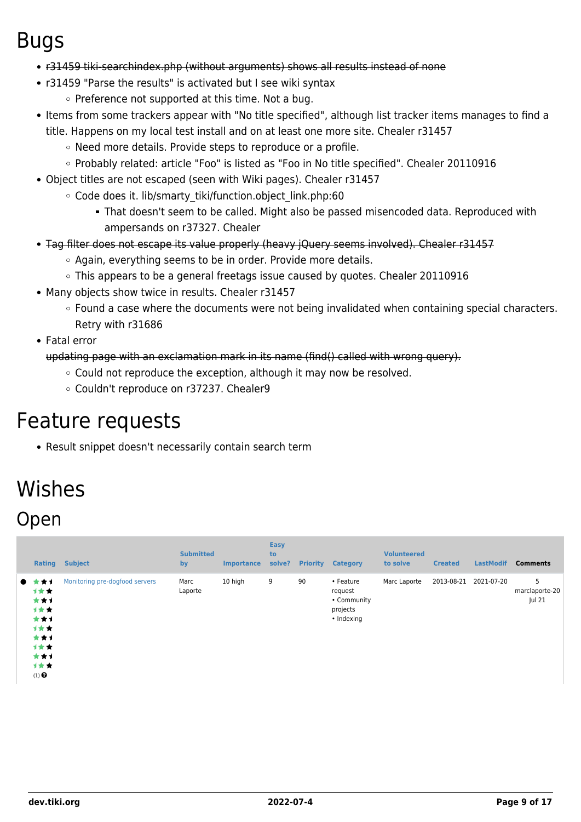#### Bugs

- r31459 tiki-searchindex.php (without arguments) shows all results instead of none
- r31459 "Parse the results" is activated but I see wiki syntax
	- $\circ$  Preference not supported at this time. Not a bug.
- Items from some trackers appear with "No title specified", although list tracker items manages to find a title. Happens on my local test install and on at least one more site. Chealer r31457
	- Need more details. Provide steps to reproduce or a profile.
	- o Probably related: article "Foo" is listed as "Foo in No title specified". Chealer 20110916
- Object titles are not escaped (seen with Wiki pages). Chealer r31457
	- Code does it. lib/smarty tiki/function.object link.php:60
		- That doesn't seem to be called. Might also be passed misencoded data. Reproduced with ampersands on r37327. Chealer
- Tag filter does not escape its value properly (heavy jQuery seems involved). Chealer r31457
	- Again, everything seems to be in order. Provide more details.
	- This appears to be a general freetags issue caused by quotes. Chealer 20110916
- Many objects show twice in results. Chealer r31457
	- Found a case where the documents were not being invalidated when containing special characters. Retry with r31686
- Fatal error

updating page with an exclamation mark in its name (find() called with wrong query).

- Could not reproduce the exception, although it may now be resolved.
- Couldn't reproduce on r37237. Chealer9

### Feature requests

Result snippet doesn't necessarily contain search term

## Wishes Open

| <b>Rating</b>                                                                      | <b>Subject</b>                 | <b>Submitted</b><br>by | <b>Importance</b> | <b>Easy</b><br>to<br>solve? | <b>Priority</b> | <b>Category</b>                                               | <b>Volunteered</b><br>to solve | <b>Created</b> | <b>LastModif</b> | <b>Comments</b>               |
|------------------------------------------------------------------------------------|--------------------------------|------------------------|-------------------|-----------------------------|-----------------|---------------------------------------------------------------|--------------------------------|----------------|------------------|-------------------------------|
| ★ෑ<br>计女女<br>***<br>1★★<br>***<br>计女女<br>***<br>计女女<br>***<br>计女女<br>$(1)$ $\odot$ | Monitoring pre-dogfood servers | Marc<br>Laporte        | 10 high           | 9                           | 90              | • Feature<br>request<br>• Community<br>projects<br>• Indexing | Marc Laporte                   | 2013-08-21     | 2021-07-20       | 5<br>marclaporte-20<br>Jul 21 |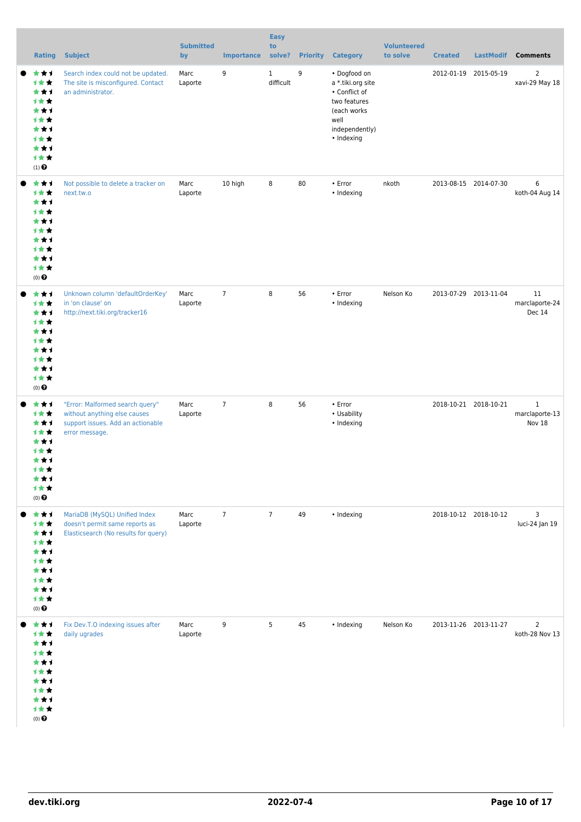| <b>Rating</b>                                                                                     | <b>Subject</b>                                                                                                         | <b>Submitted</b><br>by | <b>Importance</b> | <b>Easy</b><br>to<br>solve? | <b>Priority</b> | <b>Category</b>                                                                                                           | <b>Volunteered</b><br>to solve | <b>Created</b>        | <b>LastModif</b> | <b>Comments</b>                          |
|---------------------------------------------------------------------------------------------------|------------------------------------------------------------------------------------------------------------------------|------------------------|-------------------|-----------------------------|-----------------|---------------------------------------------------------------------------------------------------------------------------|--------------------------------|-----------------------|------------------|------------------------------------------|
| ***<br>计女女<br>***<br>计女女<br>***<br>计女女<br>***<br>计女女<br>***<br>计女女<br>$(1)$<br>$\pmb{\Theta}$     | Search index could not be updated.<br>The site is misconfigured. Contact<br>an administrator.                          | Marc<br>Laporte        | 9                 | $\mathbf{1}$<br>difficult   | 9               | • Dogfood on<br>a *.tiki.org site<br>• Conflict of<br>two features<br>(each works<br>well<br>independently)<br>• Indexing |                                | 2012-01-19 2015-05-19 |                  | 2<br>xavi-29 May 18                      |
| ***<br>计女女<br>***<br>计女女<br>***<br>计女女<br>***<br>计女女<br>***<br>计女女<br>$(0)$ $\odot$               | Not possible to delete a tracker on<br>next.tw.o                                                                       | Marc<br>Laporte        | 10 high           | 8                           | 80              | • Error<br>• Indexing                                                                                                     | nkoth                          | 2013-08-15 2014-07-30 |                  | 6<br>koth-04 Aug 14                      |
| ***<br>计女女<br>***<br>计女女<br>***<br>计女女<br>***<br>计女女<br>***<br>计女女<br>$(0)$ $\pmb{\Theta}$        | Unknown column 'defaultOrderKey'<br>in 'on clause' on<br>http://next.tiki.org/tracker16                                | Marc<br>Laporte        | $\overline{7}$    | 8                           | 56              | $\cdot$ Error<br>• Indexing                                                                                               | Nelson Ko                      | 2013-07-29 2013-11-04 |                  | 11<br>marclaporte-24<br>Dec 14           |
| ***<br>计女女<br>***<br>计女女<br>***<br>计女女<br>***<br><b>1★★</b><br>***<br>计女女<br>$(0)$ $\pmb{\Theta}$ | "Error: Malformed search query"<br>without anything else causes<br>support issues. Add an actionable<br>error message. | Marc<br>Laporte        | $\overline{7}$    | 8                           | 56              | • Error<br>• Usability<br>• Indexing                                                                                      |                                | 2018-10-21 2018-10-21 |                  | $\mathbf{1}$<br>marclaporte-13<br>Nov 18 |
| ***<br>计女女<br>***<br>计女女<br>***<br>计女女<br>***<br>计女女<br>***<br>计女女<br>$(0)$ $\odot$               | MariaDB (MySQL) Unified Index<br>doesn't permit same reports as<br>Elasticsearch (No results for query)                | Marc<br>Laporte        | $\overline{7}$    | $\overline{7}$              | 49              | • Indexing                                                                                                                |                                | 2018-10-12 2018-10-12 |                  | 3<br>luci-24 Jan 19                      |
| ***<br>计女女<br>***<br>计女女<br>***<br>计女女<br>***<br>计女女<br>***<br>计女女<br>$(0)$ $\pmb{\Theta}$        | Fix Dev.T.O indexing issues after<br>daily ugrades                                                                     | Marc<br>Laporte        | 9                 | 5                           | 45              | • Indexing                                                                                                                | Nelson Ko                      | 2013-11-26 2013-11-27 |                  | $\overline{2}$<br>koth-28 Nov 13         |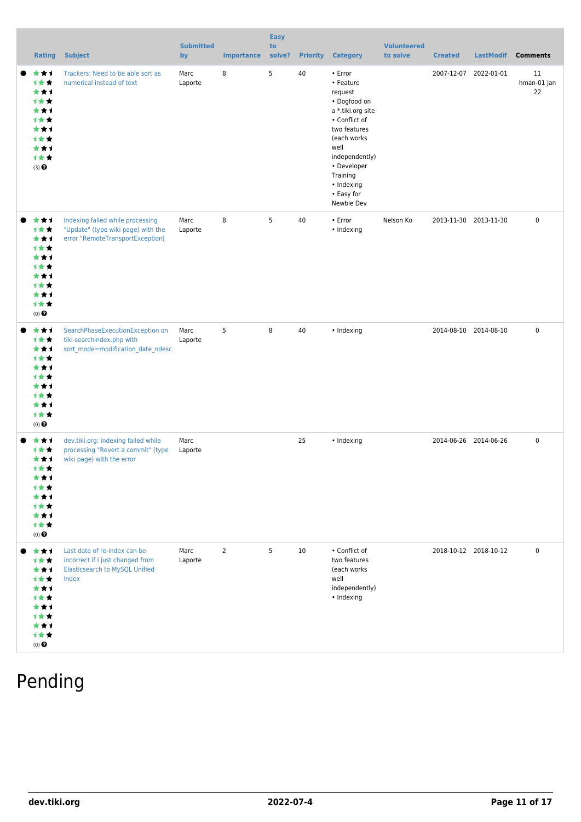| <b>Rating</b>                                                                                | <b>Subject</b>                                                                                                     | <b>Submitted</b><br>by | <b>Importance</b> | <b>Easy</b><br>to<br>solve? | <b>Priority</b> | <b>Category</b>                                                                                                                                                                                                      | <b>Volunteered</b><br>to solve | <b>Created</b>        | <b>LastModif</b>      | <b>Comments</b>         |
|----------------------------------------------------------------------------------------------|--------------------------------------------------------------------------------------------------------------------|------------------------|-------------------|-----------------------------|-----------------|----------------------------------------------------------------------------------------------------------------------------------------------------------------------------------------------------------------------|--------------------------------|-----------------------|-----------------------|-------------------------|
| ***<br>计女女<br>***<br>计女女<br>***<br><b>1**</b><br>***<br>计女女<br>***<br>计女女<br>(3)             | Trackers: Need to be able sort as<br>numerical instead of text                                                     | Marc<br>Laporte        | 8                 | 5                           | 40              | • Error<br>• Feature<br>request<br>• Dogfood on<br>a *.tiki.org site<br>• Conflict of<br>two features<br>(each works)<br>well<br>independently)<br>• Developer<br>Training<br>• Indexing<br>• Easy for<br>Newbie Dev |                                |                       | 2007-12-07 2022-01-01 | 11<br>hman-01 Jan<br>22 |
| ***<br>计女女<br>***<br>计女女<br>***<br>计女女<br>***<br>计女女<br>***<br>计女女<br>$(0)$ $\odot$          | Indexing failed while processing<br>"Update" (type wiki page) with the<br>error "RemoteTransportException[         | Marc<br>Laporte        | 8                 | 5                           | 40              | • Error<br>• Indexing                                                                                                                                                                                                | Nelson Ko                      |                       | 2013-11-30 2013-11-30 | $\mathbf 0$             |
| ***<br>计女女<br>***<br>计女女<br>***<br>计女女<br>***<br>计女女<br>***<br>计女女<br>$(0)$ $\odot$          | SearchPhaseExecutionException on<br>tiki-searchindex.php with<br>sort_mode=modification_date_ndesc                 | Marc<br>Laporte        | 5                 | 8                           | 40              | • Indexing                                                                                                                                                                                                           |                                | 2014-08-10 2014-08-10 |                       | $\mathbf 0$             |
| ***<br>计女女<br>***<br>计女会<br>★★↑<br>1 * *<br>***<br>计女女<br>***<br>1★★<br>$(0)$ $\pmb{\Theta}$ | dev.tiki.org: indexing failed while<br>processing "Revert a commit" (type<br>wiki page) with the error             | Marc<br>Laporte        |                   |                             | 25              | • Indexing                                                                                                                                                                                                           |                                | 2014-06-26 2014-06-26 |                       | $\mathbf 0$             |
| ***<br>计女女<br>***<br>计女女<br>***<br>计女女<br>***<br>计女女<br>***<br>计女女<br>$(0)$ $\Theta$         | Last date of re-index can be<br>incorrect if I just changed from<br><b>Elasticsearch to MySQL Unified</b><br>Index | Marc<br>Laporte        | $\overline{2}$    | 5                           | 10              | • Conflict of<br>two features<br>(each works<br>well<br>independently)<br>• Indexing                                                                                                                                 |                                | 2018-10-12 2018-10-12 |                       | $\mathbf 0$             |

### Pending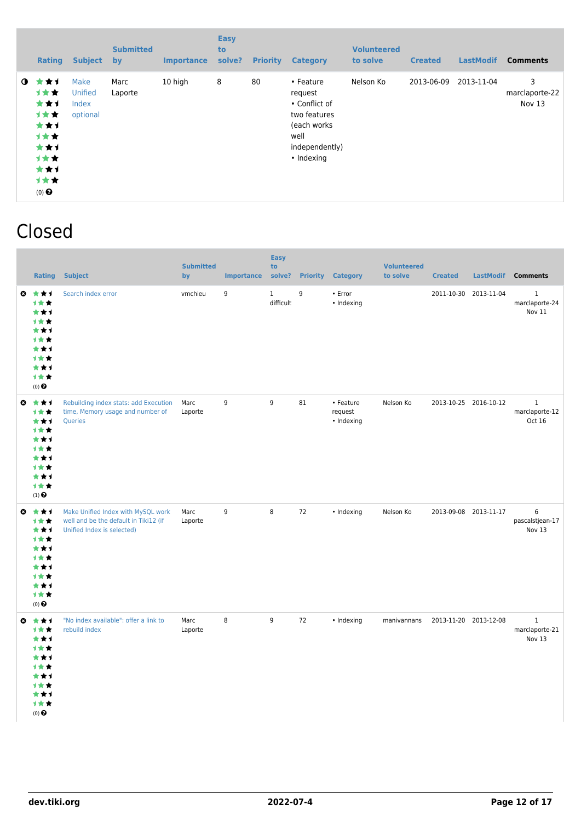|             | <b>Rating</b>                                                                                     | <b>Subject</b>                       | <b>Submitted</b><br><b>by</b> | <b>Importance</b> | <b>Easy</b><br>to<br>solve? | <b>Priority</b> | <b>Category</b>                                                                                               | <b>Volunteered</b><br>to solve | <b>Created</b> | <b>LastModif</b> | <b>Comments</b>               |
|-------------|---------------------------------------------------------------------------------------------------|--------------------------------------|-------------------------------|-------------------|-----------------------------|-----------------|---------------------------------------------------------------------------------------------------------------|--------------------------------|----------------|------------------|-------------------------------|
| $\mathbf o$ | ***<br><b>1**</b><br>***<br>计女女<br>***<br><b>1**</b><br>***<br>计女女<br>***<br>计女女<br>$(0)$ $\odot$ | Make<br>Unified<br>Index<br>optional | Marc<br>Laporte               | 10 high           | 8                           | 80              | • Feature<br>request<br>• Conflict of<br>two features<br>(each works)<br>well<br>independently)<br>• Indexing | Nelson Ko                      | 2013-06-09     | 2013-11-04       | 3<br>marclaporte-22<br>Nov 13 |

#### Closed

|                       | <b>Rating</b>                                                                                         | <b>Subject</b>                                                                                            | <b>Submitted</b><br>by | <b>Importance</b> | <b>Easy</b><br>to<br>solve? | <b>Priority</b> | <b>Category</b>                    | <b>Volunteered</b><br>to solve | <b>Created</b>        | LastModif | <b>Comments</b>                          |
|-----------------------|-------------------------------------------------------------------------------------------------------|-----------------------------------------------------------------------------------------------------------|------------------------|-------------------|-----------------------------|-----------------|------------------------------------|--------------------------------|-----------------------|-----------|------------------------------------------|
| ø                     | ***<br><b>1**</b><br>★↑<br>***<br>***<br><b>1**</b><br>***<br>计女女<br>***<br>1★★<br>(0) $\pmb{\Theta}$ | Search index error                                                                                        | vmchieu                | 9                 | $\mathbf{1}$<br>difficult   | 9               | • Error<br>• Indexing              |                                | 2011-10-30 2013-11-04 |           | $\mathbf 1$<br>marclaporte-24<br>Nov 11  |
| $\bullet$             | ***<br>计女女<br>***<br>***<br>***<br>计女女<br>***<br>计女女<br>***<br>计女女<br>$(1)$ $\odot$                   | Rebuilding index stats: add Execution<br>time, Memory usage and number of<br>Queries                      | Marc<br>Laporte        | 9                 | 9                           | 81              | • Feature<br>request<br>• Indexing | Nelson Ko                      | 2013-10-25 2016-10-12 |           | $\mathbf{1}$<br>marclaporte-12<br>Oct 16 |
| O                     | ***<br>计女女<br>***<br>计女女<br>***<br>计女女<br>***<br>计女女<br>***<br>计女女<br>$(0)$ $\odot$                   | Make Unified Index with MySQL work<br>well and be the default in Tiki12 (if<br>Unified Index is selected) | Marc<br>Laporte        | 9                 | 8                           | 72              | • Indexing                         | Nelson Ko                      | 2013-09-08 2013-11-17 |           | 6<br>pascalstjean-17<br>Nov 13           |
| $\boldsymbol{\Omega}$ | ***<br>计女女<br>***<br>计女女<br>***<br>计女女<br>***<br>计女女<br>***<br>计女女<br>$(0)$ $\odot$                   | "No index available": offer a link to<br>rebuild index                                                    | Marc<br>Laporte        | 8                 | 9                           | 72              | • Indexing                         | manivannans                    | 2013-11-20 2013-12-08 |           | $\,1$<br>marclaporte-21<br>Nov 13        |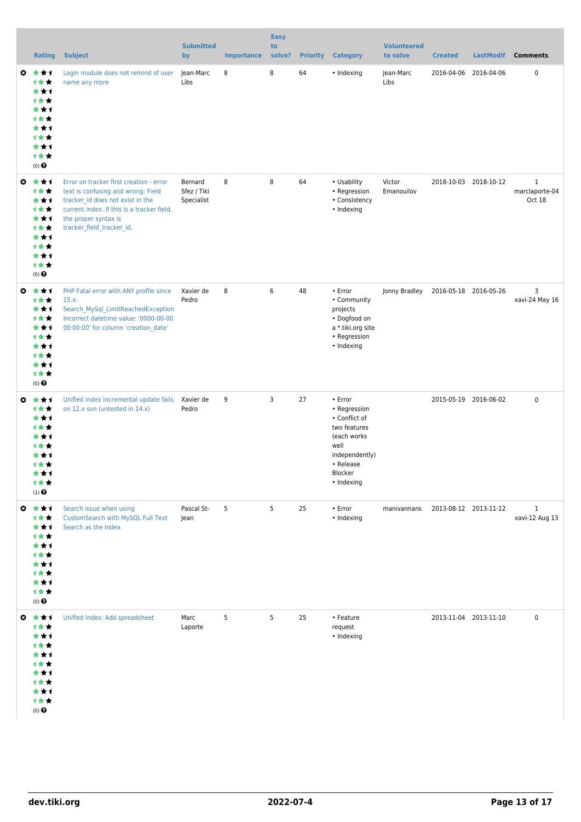|                       | <b>Rating</b>                                                                                              | <b>Subject</b>                                                                                                                                                                                                       | <b>Submitted</b><br>by               | <b>Importance</b> | <b>Easy</b><br>to<br>solve? | <b>Priority</b> | <b>Category</b>                                                                                                                         | <b>Volunteered</b><br>to solve | <b>Created</b>        | <b>LastModif</b>      | <b>Comments</b>                          |
|-----------------------|------------------------------------------------------------------------------------------------------------|----------------------------------------------------------------------------------------------------------------------------------------------------------------------------------------------------------------------|--------------------------------------|-------------------|-----------------------------|-----------------|-----------------------------------------------------------------------------------------------------------------------------------------|--------------------------------|-----------------------|-----------------------|------------------------------------------|
| ø                     | ***<br>计女女<br>***<br>1**<br>***<br><b>1**</b><br>***<br>计女女<br>***<br>计女女<br>$(0)$ <sup>O</sup>            | Login module does not remind of user<br>name any more                                                                                                                                                                | Jean-Marc<br>Libs                    | 8                 | 8                           | 64              | • Indexing                                                                                                                              | Jean-Marc<br>Libs              |                       | 2016-04-06 2016-04-06 | $\mathbf 0$                              |
| $\bullet$             | 大大士<br>计女女<br>***<br>计女女<br>***<br>计女女<br>***<br>计女女<br>***<br>计女女<br>$(0)$ <sup>O</sup>                   | Error on tracker first creation - error<br>text is confusing and wrong: Field<br>tracker id does not exist in the<br>current index. If this is a tracker field,<br>the proper syntax is<br>tracker field tracker id. | Bernard<br>Sfez / Tiki<br>Specialist | 8                 | 8                           | 64              | • Usability<br>• Regression<br>• Consistency<br>• Indexing                                                                              | Victor<br>Emanouilov           |                       | 2018-10-03 2018-10-12 | $\mathbf{1}$<br>marclaporte-04<br>Oct 18 |
| $\bullet$             | ***<br>计女女<br>***<br>计女女<br>***<br>计女女<br>***<br>计女女<br>***<br>计女女<br>$(0)$ $\odot$                        | PHP Fatal error with ANY profile since<br>15.x:<br>Search MySql LimitReachedException<br>Incorrect datetime value: '0000-00-00<br>00:00:00' for column 'creation date'                                               | Xavier de<br>Pedro                   | 8                 | 6                           | 48              | • Error<br>• Community<br>projects<br>• Dogfood on<br>a * tiki org site<br>• Regression<br>• Indexing                                   | Jonny Bradley                  |                       | 2016-05-18 2016-05-26 | 3<br>xavi-24 May 16                      |
| $\boldsymbol{\omega}$ | ***<br>计女女<br>***<br>1**<br>***<br>***<br>***<br><b>1**</b><br>***<br>计女女<br>$(1)$ $\odot$                 | Unified index incremental update fails<br>on 12.x svn (untested in 14.x)                                                                                                                                             | Xavier de<br>Pedro                   | 9                 | 3                           | 27              | • Error<br>• Regression<br>• Conflict of<br>two features<br>(each works<br>well<br>independently)<br>• Release<br>Blocker<br>• Indexing |                                |                       | 2015-05-19 2016-06-02 | $\mathbf 0$                              |
|                       | $0 \star \star \star$<br>计女女<br>***<br>计女女<br>***<br>计女女<br>***<br>计女女<br>***<br>计女女<br>(0) $\pmb{\Theta}$ | Search issue when using<br><b>CustomSearch with MySQL Full Text</b><br>Search as the Index                                                                                                                           | Pascal St-<br>Jean                   | 5                 | 5                           | 25              | • Error<br>• Indexing                                                                                                                   | manivannans                    | 2013-08-12 2013-11-12 |                       | $\mathbf{1}$<br>xavi-12 Aug 13           |
|                       | ◎ ★★1<br>计女女<br>***<br>计女女<br>***<br>计女女<br>***<br>计女女<br>***<br>计女女<br>$(0)$ $\odot$                      | Unified Index: Add spreadsheet                                                                                                                                                                                       | Marc<br>Laporte                      | 5                 | 5                           | 25              | • Feature<br>request<br>• Indexing                                                                                                      |                                |                       | 2013-11-04 2013-11-10 | $\pmb{0}$                                |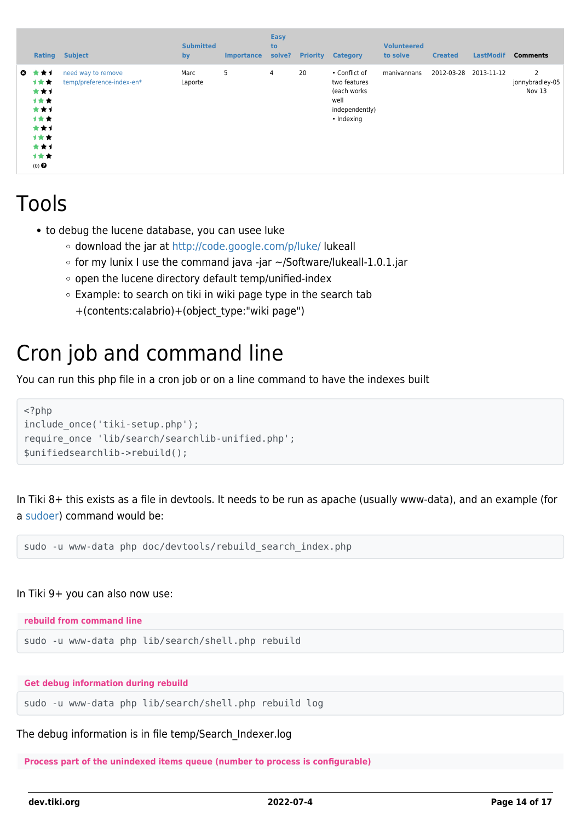|              | Rating                                                                             | <b>Subject</b>                                  | <b>Submitted</b><br>by | <b>Importance</b> | Easy<br>to<br>solve? | <b>Priority</b> | <b>Category</b>                                                                      | <b>Volunteered</b><br>to solve | <b>Created</b> | <b>LastModif</b> | <b>Comments</b>                |
|--------------|------------------------------------------------------------------------------------|-------------------------------------------------|------------------------|-------------------|----------------------|-----------------|--------------------------------------------------------------------------------------|--------------------------------|----------------|------------------|--------------------------------|
| $\mathbf{c}$ | *1<br>计女女<br>***<br>计女女<br>***<br>计女女<br>***<br>1★★<br>***<br>1★★<br>$(0)$ $\odot$ | need way to remove<br>temp/preference-index-en* | Marc<br>Laporte        | 5                 | $\overline{4}$       | 20              | • Conflict of<br>two features<br>(each works<br>well<br>independently)<br>• Indexing | manivannans                    | 2012-03-28     | 2013-11-12       | 2<br>jonnybradley-05<br>Nov 13 |

### Tools

- to debug the lucene database, you can usee luke
	- download the jar at <http://code.google.com/p/luke/>lukeall
	- $\circ$  for my lunix I use the command java -jar ~/Software/lukeall-1.0.1.jar
	- o open the lucene directory default temp/unified-index
	- $\circ$  Example: to search on tiki in wiki page type in the search tab +(contents:calabrio)+(object\_type:"wiki page")

#### Cron job and command line

You can run this php file in a cron job or on a line command to have the indexes built

```
<?php
include_once('tiki-setup.php');
require_once 'lib/search/searchlib-unified.php';
$unifiedsearchlib->rebuild();
```
In Tiki 8+ this exists as a file in devtools. It needs to be run as apache (usually www-data), and an example (for a [sudoer](http://en.wikipedia.org/wiki/Sudo)) command would be:

sudo -u www-data php doc/devtools/rebuild search index.php

#### In Tiki 9+ you can also now use:

**rebuild from command line**

sudo -u www-data php lib/search/shell.php rebuild

**Get debug information during rebuild**

sudo -u www-data php lib/search/shell.php rebuild log

The debug information is in file temp/Search\_Indexer.log

**Process part of the unindexed items queue (number to process is configurable)**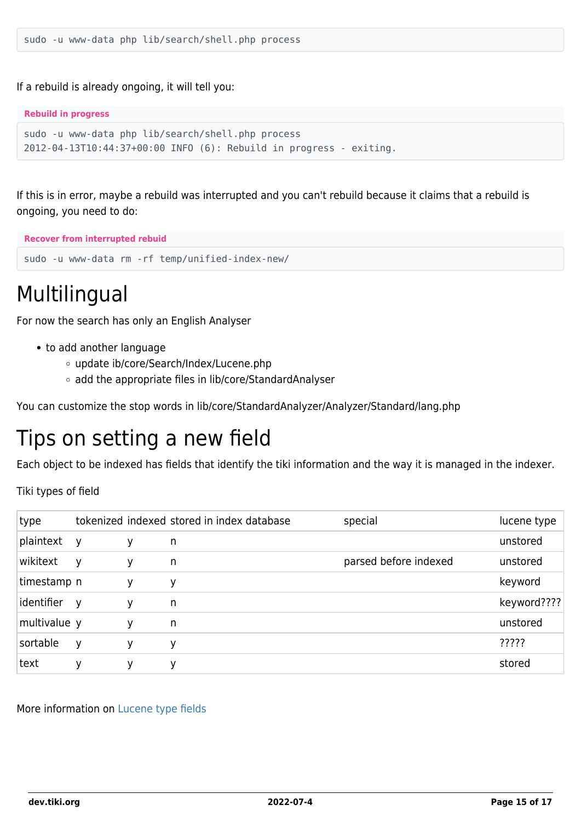If a rebuild is already ongoing, it will tell you:

#### **Rebuild in progress**

```
sudo -u www-data php lib/search/shell.php process
2012-04-13T10:44:37+00:00 INFO (6): Rebuild in progress - exiting.
```
If this is in error, maybe a rebuild was interrupted and you can't rebuild because it claims that a rebuild is ongoing, you need to do:

**Recover from interrupted rebuid**

sudo -u www-data rm -rf temp/unified-index-new/

### Multilingual

For now the search has only an English Analyser

- to add another language
	- update ib/core/Search/Index/Lucene.php
	- add the appropriate files in lib/core/StandardAnalyser

You can customize the stop words in lib/core/StandardAnalyzer/Analyzer/Standard/lang.php

### Tips on setting a new field

Each object to be indexed has fields that identify the tiki information and the way it is managed in the indexer.

Tiki types of field

| type         |              |   | tokenized indexed stored in index database | special               | lucene type |
|--------------|--------------|---|--------------------------------------------|-----------------------|-------------|
| plaintext    | V            | у | n                                          |                       | unstored    |
| wikitext     | y            | ٧ | n                                          | parsed before indexed | unstored    |
| timestamp n  |              | у | у                                          |                       | keyword     |
| identifier   | $\mathsf{V}$ | у | n                                          |                       | keyword???? |
| multivalue y |              | ۷ | n                                          |                       | unstored    |
| sortable     | y            | у | у                                          |                       | ?????       |
| text         | у            | у | у                                          |                       | stored      |

More information on [Lucene type fields](http://framework.zend.com/manual/en/zend.search.lucene.overview.html#zend.search.lucene.index-creation.understanding-field-types)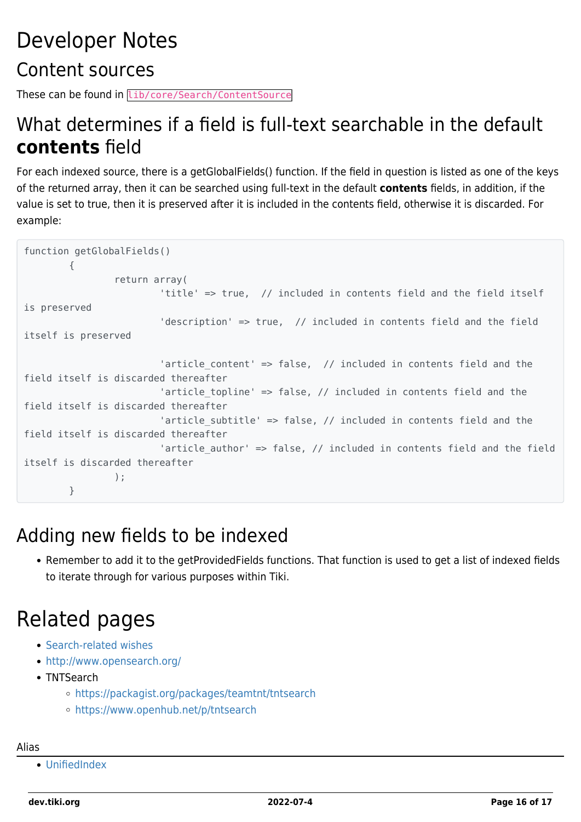## Developer Notes Content sources

These can be found in lib/core/Search/ContentSource

#### What determines if a field is full-text searchable in the default **contents** field

For each indexed source, there is a getGlobalFields() function. If the field in question is listed as one of the keys of the returned array, then it can be searched using full-text in the default **contents** fields, in addition, if the value is set to true, then it is preserved after it is included in the contents field, otherwise it is discarded. For example:

```
function getGlobalFields()
         {
                 return array(
                         'title' => true, // included in contents field and the field itself
is preserved
                         'description' => true, // included in contents field and the field
itself is preserved
                        'article content' => false, // included in contents field and the
field itself is discarded thereafter
                        'article topline' => false, // included in contents field and the
field itself is discarded thereafter
                        'article subtitle' => false, // included in contents field and the
field itself is discarded thereafter
                        'article author' => false, // included in contents field and the field
itself is discarded thereafter
); \hspace{0.1cm} }
```
#### Adding new fields to be indexed

Remember to add it to the getProvidedFields functions. That function is used to get a list of indexed fields to iterate through for various purposes within Tiki.

## Related pages

- [Search-related wishes](https://dev.tiki.org/Search)
- <http://www.opensearch.org/>
- TNTSearch
	- <https://packagist.org/packages/teamtnt/tntsearch>
	- <https://www.openhub.net/p/tntsearch>

Alias

[UnifiedIndex](https://dev.tiki.org/UnifiedIndex)